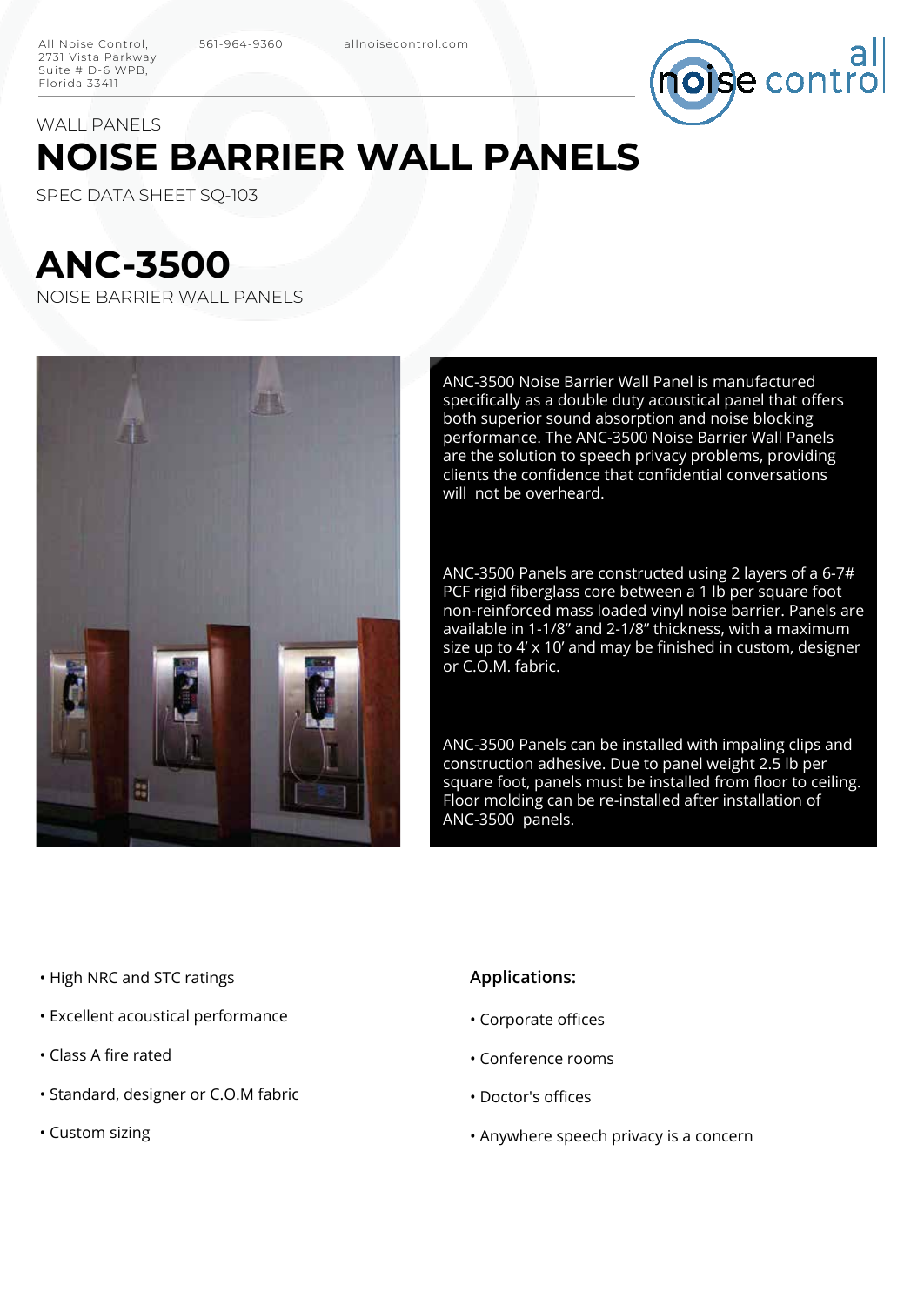

## **NOISE BARRIER WALL PANELS** WALL PANELS

SPEC DATA SHEET SQ-103

# **ANC-3500**

NOISE BARRIER WALL PANELS



ANC-3500 Noise Barrier Wall Panel is manufactured specifically as a double duty acoustical panel that offers both superior sound absorption and noise blocking performance. The ANC-3500 Noise Barrier Wall Panels are the solution to speech privacy problems, providing clients the confidence that confidential conversations will not be overheard.

ANC-3500 Panels are constructed using 2 layers of a 6-7# PCF rigid fiberglass core between a 1 lb per square foot non-reinforced mass loaded vinyl noise barrier. Panels are available in 1-1/8" and 2-1/8" thickness, with a maximum size up to 4'  $\times$  10' and may be finished in custom, designer or C.O.M. fabric.

ANC-3500 Panels can be installed with impaling clips and construction adhesive. Due to panel weight 2.5 lb per square foot, panels must be installed from floor to ceiling. Floor molding can be re-installed after installation of ANC-3500 panels.

- High NRC and STC ratings
- Excellent acoustical performance
- Class A fire rated
- Standard, designer or C.O.M fabric
- Custom sizing

#### **Applications:**

- Corporate offices
- Conference rooms
- Doctor's offices
- Anywhere speech privacy is a concern